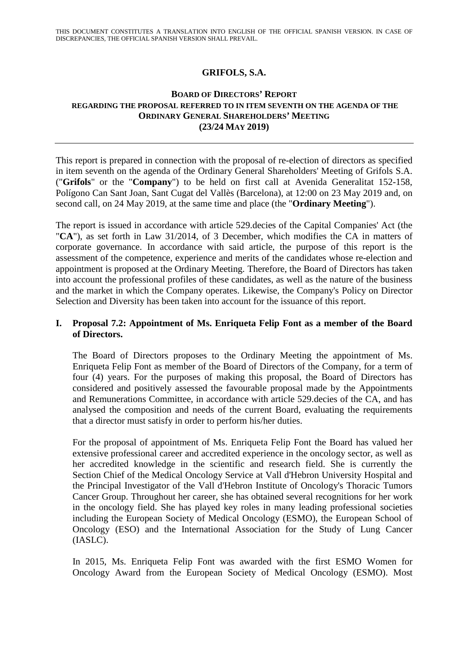# **GRIFOLS, S.A.**

## **BOARD OF DIRECTORS' REPORT REGARDING THE PROPOSAL REFERRED TO IN ITEM SEVENTH ON THE AGENDA OF THE ORDINARY GENERAL SHAREHOLDERS' MEETING (23/24 MAY 2019)**

This report is prepared in connection with the proposal of re-election of directors as specified in item seventh on the agenda of the Ordinary General Shareholders' Meeting of Grifols S.A. ("**Grifols**" or the "**Company**") to be held on first call at Avenida Generalitat 152-158, Polígono Can Sant Joan, Sant Cugat del Vallès (Barcelona), at 12:00 on 23 May 2019 and, on second call, on 24 May 2019, at the same time and place (the "**Ordinary Meeting**").

The report is issued in accordance with article 529.decies of the Capital Companies' Act (the "**CA**"), as set forth in Law 31/2014, of 3 December, which modifies the CA in matters of corporate governance. In accordance with said article, the purpose of this report is the assessment of the competence, experience and merits of the candidates whose re-election and appointment is proposed at the Ordinary Meeting. Therefore, the Board of Directors has taken into account the professional profiles of these candidates, as well as the nature of the business and the market in which the Company operates. Likewise, the Company's Policy on Director Selection and Diversity has been taken into account for the issuance of this report.

## **I. Proposal 7.2: Appointment of Ms. Enriqueta Felip Font as a member of the Board of Directors.**

The Board of Directors proposes to the Ordinary Meeting the appointment of Ms. Enriqueta Felip Font as member of the Board of Directors of the Company, for a term of four (4) years. For the purposes of making this proposal, the Board of Directors has considered and positively assessed the favourable proposal made by the Appointments and Remunerations Committee, in accordance with article 529.decies of the CA, and has analysed the composition and needs of the current Board, evaluating the requirements that a director must satisfy in order to perform his/her duties.

For the proposal of appointment of Ms. Enriqueta Felip Font the Board has valued her extensive professional career and accredited experience in the oncology sector, as well as her accredited knowledge in the scientific and research field. She is currently the Section Chief of the Medical Oncology Service at Vall d'Hebron University Hospital and the Principal Investigator of the Vall d'Hebron Institute of Oncology's Thoracic Tumors Cancer Group. Throughout her career, she has obtained several recognitions for her work in the oncology field. She has played key roles in many leading professional societies including the European Society of Medical Oncology (ESMO), the European School of Oncology (ESO) and the International Association for the Study of Lung Cancer (IASLC).

In 2015, Ms. Enriqueta Felip Font was awarded with the first ESMO Women for Oncology Award from the European Society of Medical Oncology (ESMO). Most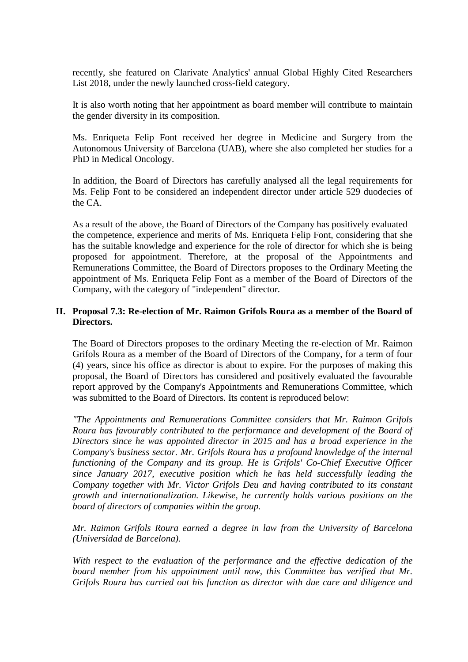recently, she featured on Clarivate Analytics' annual Global Highly Cited Researchers List 2018, under the newly launched cross-field category.

It is also worth noting that her appointment as board member will contribute to maintain the gender diversity in its composition.

Ms. Enriqueta Felip Font received her degree in Medicine and Surgery from the Autonomous University of Barcelona (UAB), where she also completed her studies for a PhD in Medical Oncology.

In addition, the Board of Directors has carefully analysed all the legal requirements for Ms. Felip Font to be considered an independent director under article 529 duodecies of the CA.

As a result of the above, the Board of Directors of the Company has positively evaluated the competence, experience and merits of Ms. Enriqueta Felip Font, considering that she has the suitable knowledge and experience for the role of director for which she is being proposed for appointment. Therefore, at the proposal of the Appointments and Remunerations Committee, the Board of Directors proposes to the Ordinary Meeting the appointment of Ms. Enriqueta Felip Font as a member of the Board of Directors of the Company, with the category of "independent" director.

# **II. Proposal 7.3: Re-election of Mr. Raimon Grifols Roura as a member of the Board of Directors.**

The Board of Directors proposes to the ordinary Meeting the re-election of Mr. Raimon Grifols Roura as a member of the Board of Directors of the Company, for a term of four (4) years, since his office as director is about to expire. For the purposes of making this proposal, the Board of Directors has considered and positively evaluated the favourable report approved by the Company's Appointments and Remunerations Committee, which was submitted to the Board of Directors. Its content is reproduced below:

*"The Appointments and Remunerations Committee considers that Mr. Raimon Grifols Roura has favourably contributed to the performance and development of the Board of Directors since he was appointed director in 2015 and has a broad experience in the Company's business sector. Mr. Grifols Roura has a profound knowledge of the internal functioning of the Company and its group. He is Grifols' Co-Chief Executive Officer since January 2017, executive position which he has held successfully leading the Company together with Mr. Victor Grifols Deu and having contributed to its constant growth and internationalization. Likewise, he currently holds various positions on the board of directors of companies within the group.* 

*Mr. Raimon Grifols Roura earned a degree in law from the University of Barcelona (Universidad de Barcelona).* 

*With respect to the evaluation of the performance and the effective dedication of the board member from his appointment until now, this Committee has verified that Mr. Grifols Roura has carried out his function as director with due care and diligence and*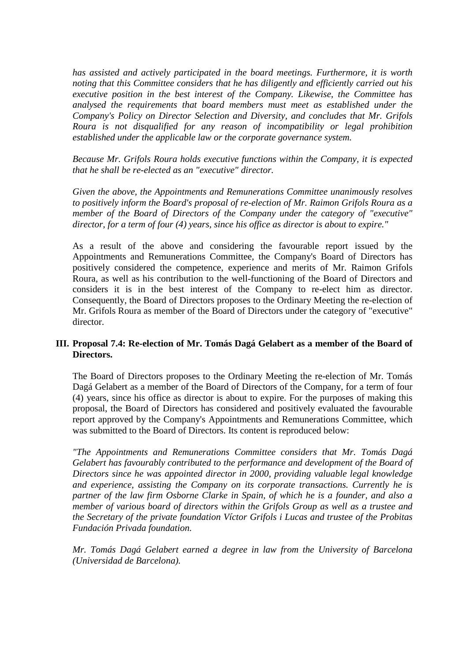*has assisted and actively participated in the board meetings. Furthermore, it is worth noting that this Committee considers that he has diligently and efficiently carried out his executive position in the best interest of the Company. Likewise, the Committee has analysed the requirements that board members must meet as established under the Company's Policy on Director Selection and Diversity, and concludes that Mr. Grifols Roura is not disqualified for any reason of incompatibility or legal prohibition established under the applicable law or the corporate governance system.* 

*Because Mr. Grifols Roura holds executive functions within the Company, it is expected that he shall be re-elected as an "executive" director.* 

*Given the above, the Appointments and Remunerations Committee unanimously resolves to positively inform the Board's proposal of re-election of Mr. Raimon Grifols Roura as a member of the Board of Directors of the Company under the category of "executive" director, for a term of four (4) years, since his office as director is about to expire."*

As a result of the above and considering the favourable report issued by the Appointments and Remunerations Committee, the Company's Board of Directors has positively considered the competence, experience and merits of Mr. Raimon Grifols Roura, as well as his contribution to the well-functioning of the Board of Directors and considers it is in the best interest of the Company to re-elect him as director. Consequently, the Board of Directors proposes to the Ordinary Meeting the re-election of Mr. Grifols Roura as member of the Board of Directors under the category of "executive" director.

## **III. Proposal 7.4: Re-election of Mr. Tomás Dagá Gelabert as a member of the Board of Directors.**

The Board of Directors proposes to the Ordinary Meeting the re-election of Mr. Tomás Dagá Gelabert as a member of the Board of Directors of the Company, for a term of four (4) years, since his office as director is about to expire. For the purposes of making this proposal, the Board of Directors has considered and positively evaluated the favourable report approved by the Company's Appointments and Remunerations Committee, which was submitted to the Board of Directors. Its content is reproduced below:

*"The Appointments and Remunerations Committee considers that Mr. Tomás Dagá Gelabert has favourably contributed to the performance and development of the Board of Directors since he was appointed director in 2000, providing valuable legal knowledge and experience, assisting the Company on its corporate transactions. Currently he is partner of the law firm Osborne Clarke in Spain, of which he is a founder, and also a member of various board of directors within the Grifols Group as well as a trustee and the Secretary of the private foundation Víctor Grifols i Lucas and trustee of the Probitas Fundación Privada foundation.* 

*Mr. Tomás Dagá Gelabert earned a degree in law from the University of Barcelona (Universidad de Barcelona).*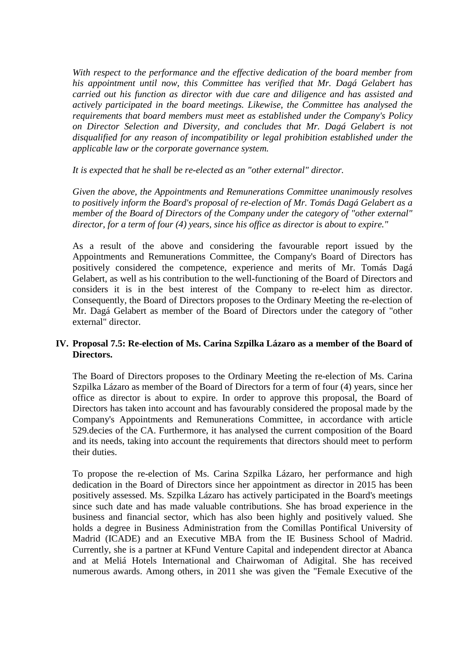*With respect to the performance and the effective dedication of the board member from his appointment until now, this Committee has verified that Mr. Dagá Gelabert has carried out his function as director with due care and diligence and has assisted and actively participated in the board meetings. Likewise, the Committee has analysed the requirements that board members must meet as established under the Company's Policy on Director Selection and Diversity, and concludes that Mr. Dagá Gelabert is not disqualified for any reason of incompatibility or legal prohibition established under the applicable law or the corporate governance system.* 

#### *It is expected that he shall be re-elected as an "other external" director.*

*Given the above, the Appointments and Remunerations Committee unanimously resolves to positively inform the Board's proposal of re-election of Mr. Tomás Dagá Gelabert as a member of the Board of Directors of the Company under the category of "other external" director, for a term of four (4) years, since his office as director is about to expire."* 

As a result of the above and considering the favourable report issued by the Appointments and Remunerations Committee, the Company's Board of Directors has positively considered the competence, experience and merits of Mr. Tomás Dagá Gelabert, as well as his contribution to the well-functioning of the Board of Directors and considers it is in the best interest of the Company to re-elect him as director. Consequently, the Board of Directors proposes to the Ordinary Meeting the re-election of Mr. Dagá Gelabert as member of the Board of Directors under the category of "other external" director.

# **IV. Proposal 7.5: Re-election of Ms. Carina Szpilka Lázaro as a member of the Board of Directors.**

The Board of Directors proposes to the Ordinary Meeting the re-election of Ms. Carina Szpilka Lázaro as member of the Board of Directors for a term of four (4) years, since her office as director is about to expire. In order to approve this proposal, the Board of Directors has taken into account and has favourably considered the proposal made by the Company's Appointments and Remunerations Committee, in accordance with article 529.decies of the CA. Furthermore, it has analysed the current composition of the Board and its needs, taking into account the requirements that directors should meet to perform their duties.

To propose the re-election of Ms. Carina Szpilka Lázaro, her performance and high dedication in the Board of Directors since her appointment as director in 2015 has been positively assessed. Ms. Szpilka Lázaro has actively participated in the Board's meetings since such date and has made valuable contributions. She has broad experience in the business and financial sector, which has also been highly and positively valued. She holds a degree in Business Administration from the Comillas Pontifical University of Madrid (ICADE) and an Executive MBA from the IE Business School of Madrid. Currently, she is a partner at KFund Venture Capital and independent director at Abanca and at Meliá Hotels International and Chairwoman of Adigital. She has received numerous awards. Among others, in 2011 she was given the "Female Executive of the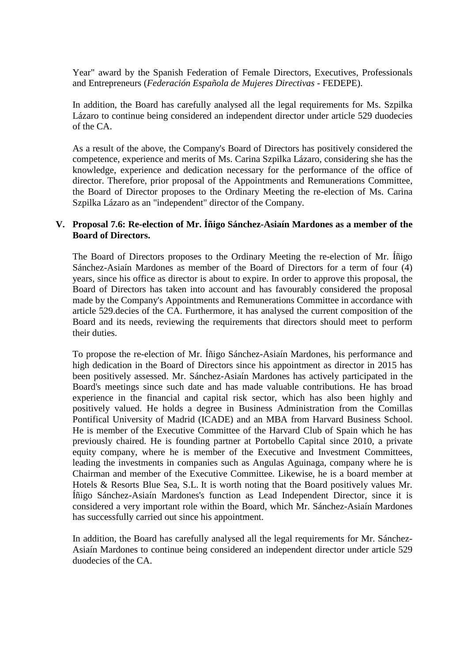Year" award by the Spanish Federation of Female Directors, Executives, Professionals and Entrepreneurs (*Federación Española de Mujeres Directivas* - FEDEPE).

In addition, the Board has carefully analysed all the legal requirements for Ms. Szpilka Lázaro to continue being considered an independent director under article 529 duodecies of the CA.

As a result of the above, the Company's Board of Directors has positively considered the competence, experience and merits of Ms. Carina Szpilka Lázaro, considering she has the knowledge, experience and dedication necessary for the performance of the office of director. Therefore, prior proposal of the Appointments and Remunerations Committee, the Board of Director proposes to the Ordinary Meeting the re-election of Ms. Carina Szpilka Lázaro as an "independent" director of the Company.

#### **V. Proposal 7.6: Re-election of Mr. Íñigo Sánchez-Asiaín Mardones as a member of the Board of Directors.**

The Board of Directors proposes to the Ordinary Meeting the re-election of Mr. Íñigo Sánchez-Asiaín Mardones as member of the Board of Directors for a term of four (4) years, since his office as director is about to expire. In order to approve this proposal, the Board of Directors has taken into account and has favourably considered the proposal made by the Company's Appointments and Remunerations Committee in accordance with article 529.decies of the CA. Furthermore, it has analysed the current composition of the Board and its needs, reviewing the requirements that directors should meet to perform their duties.

To propose the re-election of Mr. Íñigo Sánchez-Asiaín Mardones, his performance and high dedication in the Board of Directors since his appointment as director in 2015 has been positively assessed. Mr. Sánchez-Asiaín Mardones has actively participated in the Board's meetings since such date and has made valuable contributions. He has broad experience in the financial and capital risk sector, which has also been highly and positively valued. He holds a degree in Business Administration from the Comillas Pontifical University of Madrid (ICADE) and an MBA from Harvard Business School. He is member of the Executive Committee of the Harvard Club of Spain which he has previously chaired. He is founding partner at Portobello Capital since 2010, a private equity company, where he is member of the Executive and Investment Committees, leading the investments in companies such as Angulas Aguinaga, company where he is Chairman and member of the Executive Committee. Likewise, he is a board member at Hotels & Resorts Blue Sea, S.L. It is worth noting that the Board positively values Mr. Íñigo Sánchez-Asiaín Mardones's function as Lead Independent Director, since it is considered a very important role within the Board, which Mr. Sánchez-Asiaín Mardones has successfully carried out since his appointment.

In addition, the Board has carefully analysed all the legal requirements for Mr. Sánchez-Asiaín Mardones to continue being considered an independent director under article 529 duodecies of the CA.